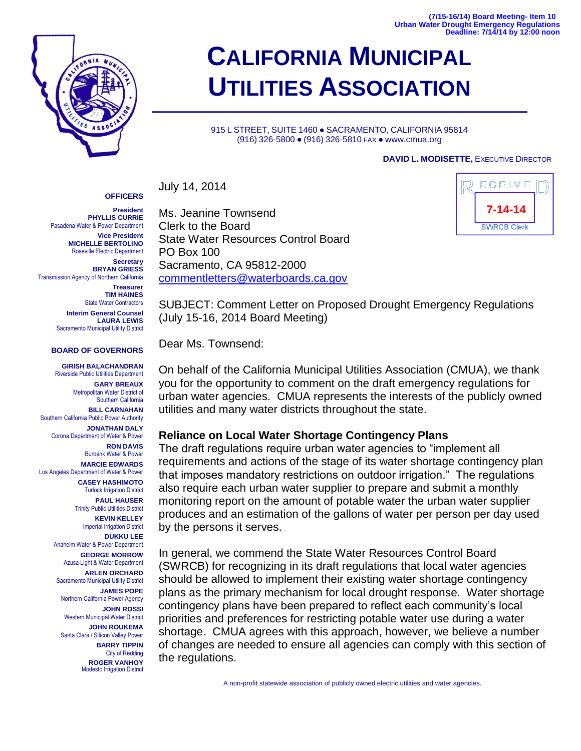**(7/15-16/14) Board Meeting- Item 10 Urban Water Drought Emergency Regulations Deadline: 7/14/14 by 12:00 noon**



# **CALIFORNIA MUNICIPAL UTILITIES ASSOCIATION**

915 L STREET, SUITE 1460 · SACRAMENTO, CALIFORNIA 95814 (916) 326-5800 ● (916) 326-5810 FAX ● www.cmua.org

#### **DAVID L. MODISETTE,** EXECUTIVE DIRECTOR

July 14, 2014

**President PHYLLIS CURRIE** Pasadena Water & Power Department **Vice President MICHELLE BERTOLINO** Roseville Electric Department

**OFFICERS**

**Secretary BRYAN GRIESS** Transmission Agency of Northern California

> **Treasurer TIM HAINES** State Water Contractors **Interim General Counsel LAURA LEWIS** Sacramento Municipal Utility District

#### **BOARD OF GOVERNORS**

**GIRISH BALACHANDRAN** Riverside Public Utilities Department **GARY BREAUX** Metropolitan Water District of Southern California **BILL CARNAHAN** Southern California Public Power Authority **JONATHAN DALY** Corona Department of Water & Power **RON DAVIS** Burbank Water & Power **MARCIE EDWARDS** Los Angeles Department of Water & Power **CASEY HASHIMOTO** Turlock Irrigation District **PAUL HAUSER** Trinity Public Utilities District **KEVIN KELLEY** Imperial Irrigation District **DUKKU LEE** Anaheim Water & Power Department **GEORGE MORROW** Azusa Light & Water Department **ARLEN ORCHARD** Sacramento Municipal Utility District **JAMES POPE** Northern California Power Agency **JOHN ROSSI** Western Municipal Water District **JOHN ROUKEMA** Santa Clara / Silicon Valley Power **BARRY TIPPIN** City of Redding **ROGER VANHOY** Modesto Irrigation District

Ms. Jeanine Townsend Clerk to the Board State Water Resources Control Board PO Box 100 Sacramento, CA 95812-2000 [commentletters@waterboards.ca.gov](mailto:commentletters@waterboards.ca.gov)



SUBJECT: Comment Letter on Proposed Drought Emergency Regulations (July 15-16, 2014 Board Meeting)

Dear Ms. Townsend:

On behalf of the California Municipal Utilities Association (CMUA), we thank you for the opportunity to comment on the draft emergency regulations for urban water agencies. CMUA represents the interests of the publicly owned utilities and many water districts throughout the state.

### **Reliance on Local Water Shortage Contingency Plans**

The draft regulations require urban water agencies to "implement all requirements and actions of the stage of its water shortage contingency plan that imposes mandatory restrictions on outdoor irrigation." The regulations also require each urban water supplier to prepare and submit a monthly monitoring report on the amount of potable water the urban water supplier produces and an estimation of the gallons of water per person per day used by the persons it serves.

In general, we commend the State Water Resources Control Board (SWRCB) for recognizing in its draft regulations that local water agencies should be allowed to implement their existing water shortage contingency plans as the primary mechanism for local drought response. Water shortage contingency plans have been prepared to reflect each community's local priorities and preferences for restricting potable water use during a water shortage. CMUA agrees with this approach, however, we believe a number of changes are needed to ensure all agencies can comply with this section of the regulations.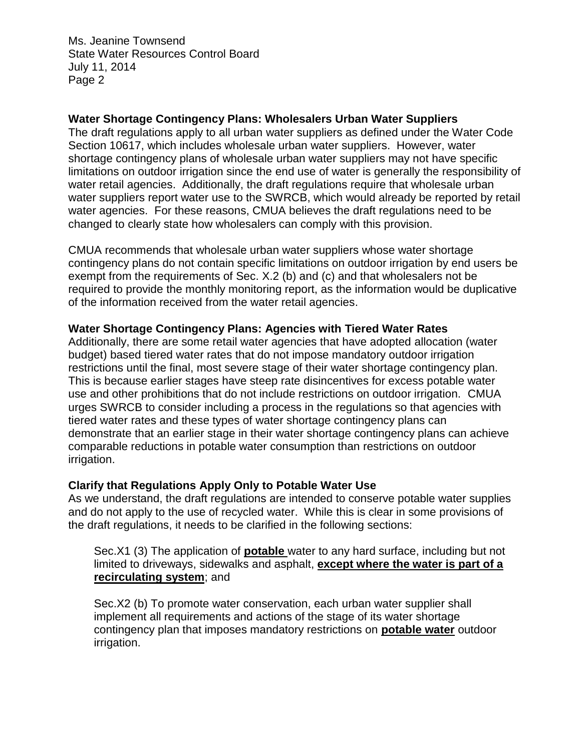Ms. Jeanine Townsend State Water Resources Control Board July 11, 2014 Page 2

# **Water Shortage Contingency Plans: Wholesalers Urban Water Suppliers**

The draft regulations apply to all urban water suppliers as defined under the Water Code Section 10617, which includes wholesale urban water suppliers. However, water shortage contingency plans of wholesale urban water suppliers may not have specific limitations on outdoor irrigation since the end use of water is generally the responsibility of water retail agencies. Additionally, the draft regulations require that wholesale urban water suppliers report water use to the SWRCB, which would already be reported by retail water agencies. For these reasons, CMUA believes the draft regulations need to be changed to clearly state how wholesalers can comply with this provision.

CMUA recommends that wholesale urban water suppliers whose water shortage contingency plans do not contain specific limitations on outdoor irrigation by end users be exempt from the requirements of Sec. X.2 (b) and (c) and that wholesalers not be required to provide the monthly monitoring report, as the information would be duplicative of the information received from the water retail agencies.

## **Water Shortage Contingency Plans: Agencies with Tiered Water Rates**

Additionally, there are some retail water agencies that have adopted allocation (water budget) based tiered water rates that do not impose mandatory outdoor irrigation restrictions until the final, most severe stage of their water shortage contingency plan. This is because earlier stages have steep rate disincentives for excess potable water use and other prohibitions that do not include restrictions on outdoor irrigation. CMUA urges SWRCB to consider including a process in the regulations so that agencies with tiered water rates and these types of water shortage contingency plans can demonstrate that an earlier stage in their water shortage contingency plans can achieve comparable reductions in potable water consumption than restrictions on outdoor irrigation.

# **Clarify that Regulations Apply Only to Potable Water Use**

As we understand, the draft regulations are intended to conserve potable water supplies and do not apply to the use of recycled water. While this is clear in some provisions of the draft regulations, it needs to be clarified in the following sections:

Sec.X1 (3) The application of **potable** water to any hard surface, including but not limited to driveways, sidewalks and asphalt, **except where the water is part of a recirculating system**; and

Sec.X2 (b) To promote water conservation, each urban water supplier shall implement all requirements and actions of the stage of its water shortage contingency plan that imposes mandatory restrictions on **potable water** outdoor irrigation.